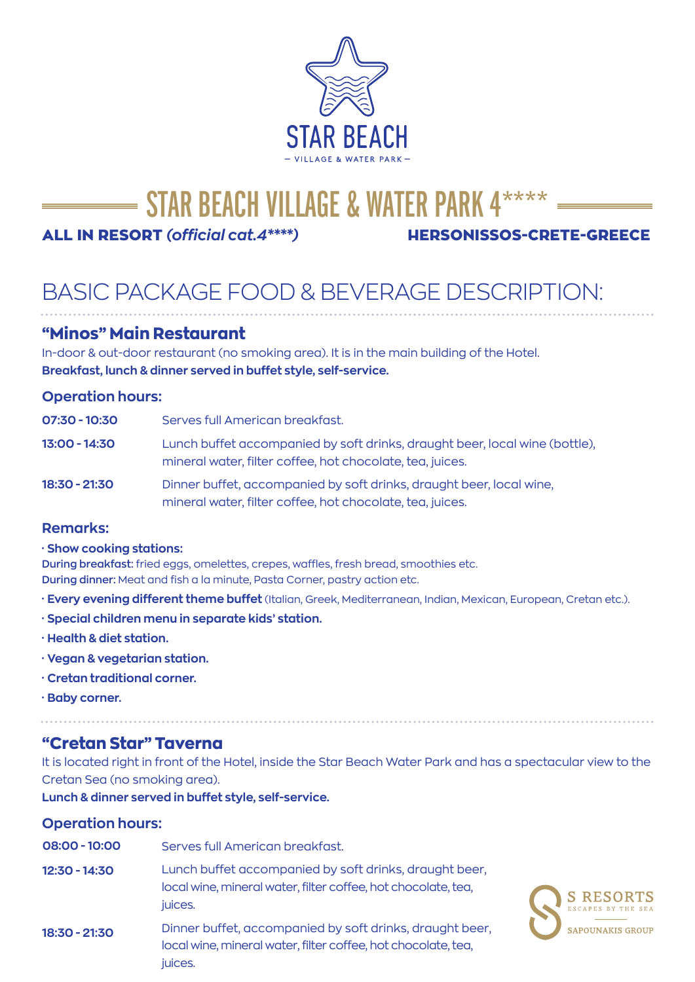

# STAR BEACH VILLAGE & WATER PARK 4\*\*\*\*\*

ALL IN RESORT *(official cat.4\*\*\*\*)* HERSONISSOS-CRETE-GREECE

# BASIC PACKAGE FOOD & BEVERAGE DESCRIPTION:

## **"Minos" Main Restaurant**

In-door & out-door restaurant (no smoking area). It is in the main building of the Hotel. **Breakfast, lunch & dinner served in buffet style, self-service.**

### **Operation hours:**

| $07:30 - 10:30$ | Serves full American breakfast.                                                                                                          |
|-----------------|------------------------------------------------------------------------------------------------------------------------------------------|
| 13:00 - 14:30   | Lunch buffet accompanied by soft drinks, draught beer, local wine (bottle),<br>mineral water, filter coffee, hot chocolate, tea, juices. |
| 18:30 - 21:30   | Dinner buffet, accompanied by soft drinks, draught beer, local wine,<br>mineral water, filter coffee, hot chocolate, tea, juices.        |

#### **Remarks:**

#### **· Show cooking stations:**

**During breakfast:** fried eggs, omelettes, crepes, waffles, fresh bread, smoothies etc. **During dinner:** Meat and fish a la minute, Pasta Corner, pastry action etc.

- **· Every evening different theme buffet** (Italian, Greek, Mediterranean, Indian, Mexican, European, Cretan etc.).
- **· Special children menu in separate kids' station.**
- **· Health & diet station.**
- **· Vegan & vegetarian station.**
- **· Cretan traditional corner.**
- **· Baby corner.**

## **"Cretan Star" Taverna**

It is located right in front of the Hotel, inside the Star Beach Water Park and has a spectacular view to the Cretan Sea (no smoking area).

**Lunch & dinner served in buffet style, self-service.**

### **Operation hours:**

| $08:00 - 10:00$ | Serves full American breakfast.                                                                                                                                 |
|-----------------|-----------------------------------------------------------------------------------------------------------------------------------------------------------------|
| $12:30 - 14:30$ | Lunch buffet accompanied by soft drinks, draught beer,<br>local wine, mineral water, filter coffee, hot chocolate, tea,<br><b>S RESORTS</b><br>juices.          |
| 18:30 - 21:30   | Dinner buffet, accompanied by soft drinks, draught beer,<br><b>SAPOUNAKIS GROUP</b><br>local wine, mineral water, filter coffee, hot chocolate, tea,<br>juices. |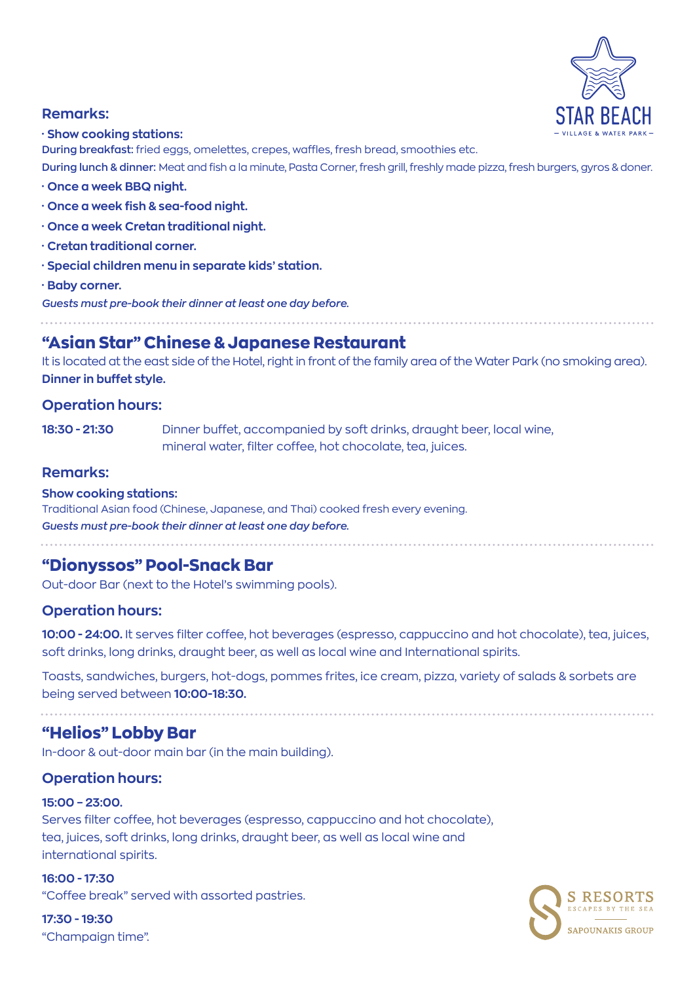

#### **Remarks:**

#### **· Show cooking stations:**

**During breakfast:** fried eggs, omelettes, crepes, waffles, fresh bread, smoothies etc.

**During lunch & dinner:** Meat and fish a la minute, Pasta Corner, fresh grill, freshly made pizza, fresh burgers, gyros & doner.

- **· Once a week BBQ night.**
- **· Once a week fish & sea-food night.**
- **· Once a week Cretan traditional night.**
- **· Cretan traditional corner.**
- **· Special children menu in separate kids' station.**
- **· Baby corner.**

*Guests must pre-book their dinner at least one day before.*

# **"Asian Star" Chinese & Japanese Restaurant**

It is located at the east side of the Hotel, right in front of the family area of the Water Park (no smoking area). **Dinner in buffet style.**

#### **Operation hours:**

**18:30 - 21:30** Dinner buffet, accompanied by soft drinks, draught beer, local wine, mineral water, filter coffee, hot chocolate, tea, juices.

#### **Remarks:**

#### **Show cooking stations:**

Traditional Asian food (Chinese, Japanese, and Thai) cooked fresh every evening. *Guests must pre-book their dinner at least one day before.*

**"Dionyssos" Pool-Snack Bar**

Out-door Bar (next to the Hotel's swimming pools).

#### **Operation hours:**

**10:00 - 24:00.** It serves filter coffee, hot beverages (espresso, cappuccino and hot chocolate), tea, juices, soft drinks, long drinks, draught beer, as well as local wine and International spirits.

Toasts, sandwiches, burgers, hot-dogs, pommes frites, ice cream, pizza, variety of salads & sorbets are being served between **10:00-18:30.**

### **"Helios" Lobby Bar**

In-door & out-door main bar (in the main building).

#### **Operation hours:**

#### **15:00 – 23:00.**

Serves filter coffee, hot beverages (espresso, cappuccino and hot chocolate), tea, juices, soft drinks, long drinks, draught beer, as well as local wine and international spirits.

**16:00 - 17:30**  "Coffee break" served with assorted pastries.

**17:30 - 19:30** "Champaign time".

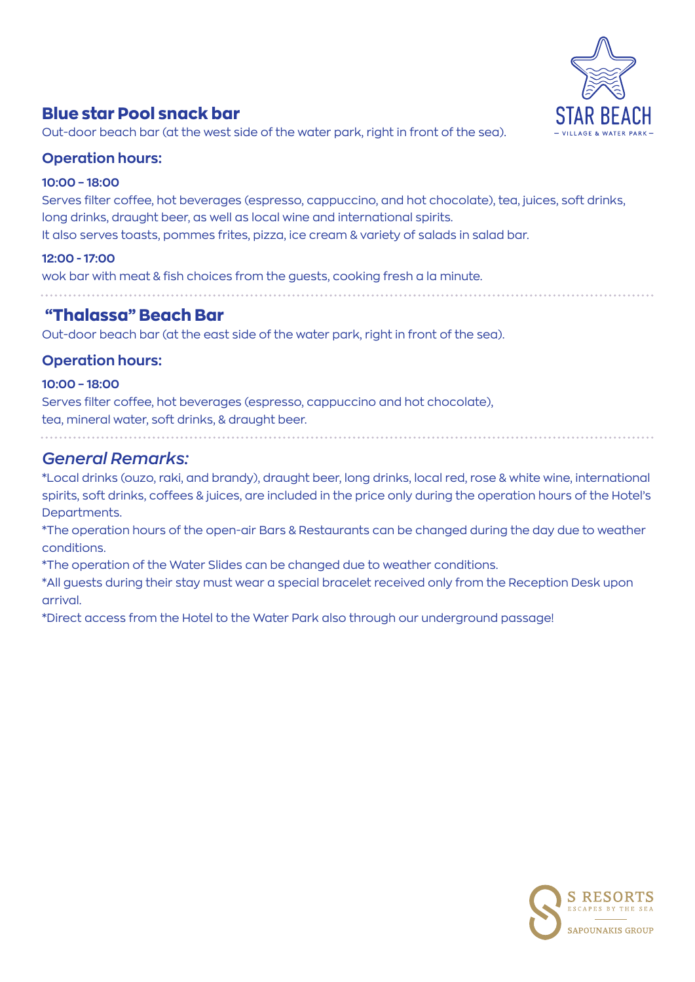

# **Blue star Pool snack bar**

Out-door beach bar (at the west side of the water park, right in front of the sea).

## **Operation hours:**

#### **10:00 – 18:00**

Serves filter coffee, hot beverages (espresso, cappuccino, and hot chocolate), tea, juices, soft drinks, long drinks, draught beer, as well as local wine and international spirits. It also serves toasts, pommes frites, pizza, ice cream & variety of salads in salad bar.

#### **12:00 - 17:00**

wok bar with meat & fish choices from the guests, cooking fresh a la minute.

## **"Thalassa" Beach Bar**

Out-door beach bar (at the east side of the water park, right in front of the sea).

## **Operation hours:**

#### **10:00 – 18:00**

Serves filter coffee, hot beverages (espresso, cappuccino and hot chocolate), tea, mineral water, soft drinks, & draught beer.

## *General Remarks:*

\*Local drinks (ouzo, raki, and brandy), draught beer, long drinks, local red, rose & white wine, international spirits, soft drinks, coffees & juices, are included in the price only during the operation hours of the Hotel's Departments.

\*The operation hours of the open-air Bars & Restaurants can be changed during the day due to weather conditions.

\*The operation of the Water Slides can be changed due to weather conditions.

\*All guests during their stay must wear a special bracelet received only from the Reception Desk upon arrival.

\*Direct access from the Hotel to the Water Park also through our underground passage!